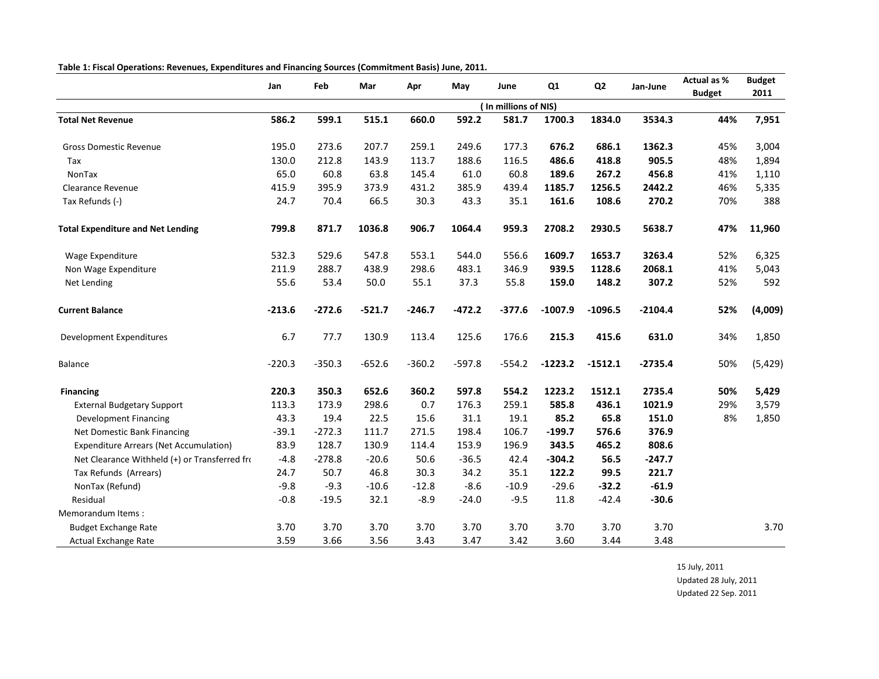| Table 1: Fiscal Operations: Revenues, Expenditures and Financing Sources (Commitment Basis) June, 2011. |  |
|---------------------------------------------------------------------------------------------------------|--|
|                                                                                                         |  |

|                                               |          | Feb      |          |          |          | June                 | Q1        | Q <sub>2</sub> |           | Actual as %   | <b>Budget</b> |
|-----------------------------------------------|----------|----------|----------|----------|----------|----------------------|-----------|----------------|-----------|---------------|---------------|
|                                               | Jan      |          | Mar      | Apr      | May      |                      |           |                | Jan-June  | <b>Budget</b> | 2011          |
|                                               |          |          |          |          |          | (In millions of NIS) |           |                |           |               |               |
| <b>Total Net Revenue</b>                      | 586.2    | 599.1    | 515.1    | 660.0    | 592.2    | 581.7                | 1700.3    | 1834.0         | 3534.3    | 44%           | 7,951         |
| <b>Gross Domestic Revenue</b>                 | 195.0    | 273.6    | 207.7    | 259.1    | 249.6    | 177.3                | 676.2     | 686.1          | 1362.3    | 45%           | 3,004         |
| Tax                                           | 130.0    | 212.8    | 143.9    | 113.7    | 188.6    | 116.5                | 486.6     | 418.8          | 905.5     | 48%           | 1,894         |
| NonTax                                        | 65.0     | 60.8     | 63.8     | 145.4    | 61.0     | 60.8                 | 189.6     | 267.2          | 456.8     | 41%           | 1,110         |
| <b>Clearance Revenue</b>                      | 415.9    | 395.9    | 373.9    | 431.2    | 385.9    | 439.4                | 1185.7    | 1256.5         | 2442.2    | 46%           | 5,335         |
| Tax Refunds (-)                               | 24.7     | 70.4     | 66.5     | 30.3     | 43.3     | 35.1                 | 161.6     | 108.6          | 270.2     | 70%           | 388           |
| <b>Total Expenditure and Net Lending</b>      | 799.8    | 871.7    | 1036.8   | 906.7    | 1064.4   | 959.3                | 2708.2    | 2930.5         | 5638.7    | 47%           | 11,960        |
| Wage Expenditure                              | 532.3    | 529.6    | 547.8    | 553.1    | 544.0    | 556.6                | 1609.7    | 1653.7         | 3263.4    | 52%           | 6,325         |
| Non Wage Expenditure                          | 211.9    | 288.7    | 438.9    | 298.6    | 483.1    | 346.9                | 939.5     | 1128.6         | 2068.1    | 41%           | 5,043         |
| Net Lending                                   | 55.6     | 53.4     | 50.0     | 55.1     | 37.3     | 55.8                 | 159.0     | 148.2          | 307.2     | 52%           | 592           |
| <b>Current Balance</b>                        | $-213.6$ | $-272.6$ | $-521.7$ | $-246.7$ | $-472.2$ | $-377.6$             | $-1007.9$ | $-1096.5$      | $-2104.4$ | 52%           | (4,009)       |
| Development Expenditures                      | 6.7      | 77.7     | 130.9    | 113.4    | 125.6    | 176.6                | 215.3     | 415.6          | 631.0     | 34%           | 1,850         |
| <b>Balance</b>                                | $-220.3$ | $-350.3$ | $-652.6$ | $-360.2$ | $-597.8$ | $-554.2$             | $-1223.2$ | $-1512.1$      | $-2735.4$ | 50%           | (5, 429)      |
| <b>Financing</b>                              | 220.3    | 350.3    | 652.6    | 360.2    | 597.8    | 554.2                | 1223.2    | 1512.1         | 2735.4    | 50%           | 5,429         |
| <b>External Budgetary Support</b>             | 113.3    | 173.9    | 298.6    | 0.7      | 176.3    | 259.1                | 585.8     | 436.1          | 1021.9    | 29%           | 3,579         |
| <b>Development Financing</b>                  | 43.3     | 19.4     | 22.5     | 15.6     | 31.1     | 19.1                 | 85.2      | 65.8           | 151.0     | 8%            | 1,850         |
| Net Domestic Bank Financing                   | $-39.1$  | $-272.3$ | 111.7    | 271.5    | 198.4    | 106.7                | $-199.7$  | 576.6          | 376.9     |               |               |
| <b>Expenditure Arrears (Net Accumulation)</b> | 83.9     | 128.7    | 130.9    | 114.4    | 153.9    | 196.9                | 343.5     | 465.2          | 808.6     |               |               |
| Net Clearance Withheld (+) or Transferred fro | $-4.8$   | $-278.8$ | $-20.6$  | 50.6     | $-36.5$  | 42.4                 | $-304.2$  | 56.5           | $-247.7$  |               |               |
| Tax Refunds (Arrears)                         | 24.7     | 50.7     | 46.8     | 30.3     | 34.2     | 35.1                 | 122.2     | 99.5           | 221.7     |               |               |
| NonTax (Refund)                               | $-9.8$   | $-9.3$   | $-10.6$  | $-12.8$  | $-8.6$   | $-10.9$              | $-29.6$   | $-32.2$        | $-61.9$   |               |               |
| Residual                                      | $-0.8$   | $-19.5$  | 32.1     | $-8.9$   | $-24.0$  | $-9.5$               | 11.8      | $-42.4$        | $-30.6$   |               |               |
| Memorandum Items:                             |          |          |          |          |          |                      |           |                |           |               |               |
| <b>Budget Exchange Rate</b>                   | 3.70     | 3.70     | 3.70     | 3.70     | 3.70     | 3.70                 | 3.70      | 3.70           | 3.70      |               | 3.70          |
| Actual Exchange Rate                          | 3.59     | 3.66     | 3.56     | 3.43     | 3.47     | 3.42                 | 3.60      | 3.44           | 3.48      |               |               |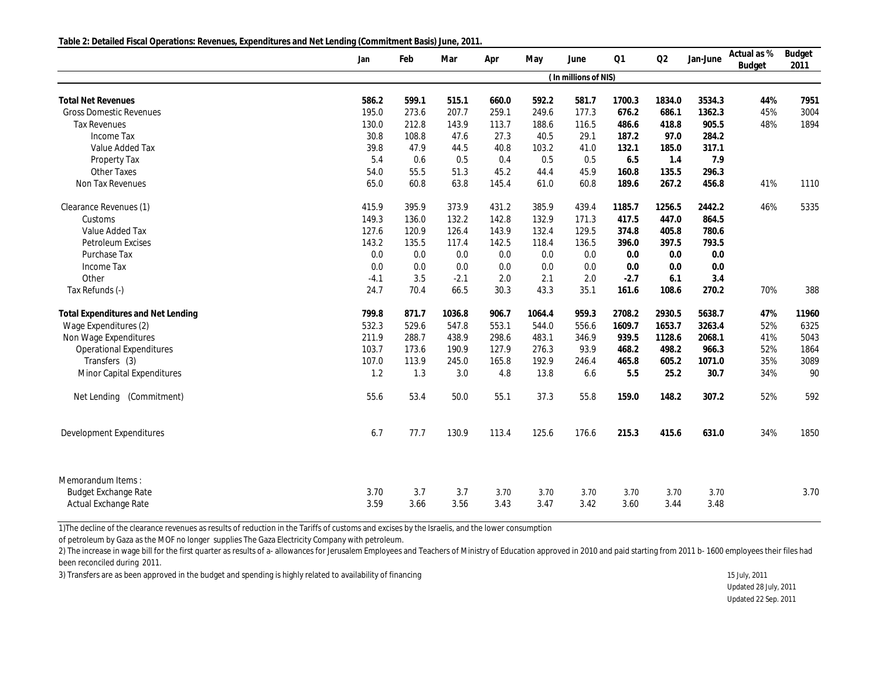**Table 2: Detailed Fiscal Operations: Revenues, Expenditures and Net Lending (Commitment Basis) June, 2011.**

|                                    | Jan    | Feb   | Mar    | Apr   | May    | June                 | Q1     | Q2     | Jan-June | Actual as %<br><b>Budget</b> | Budget<br>2011 |
|------------------------------------|--------|-------|--------|-------|--------|----------------------|--------|--------|----------|------------------------------|----------------|
|                                    |        |       |        |       |        | (In millions of NIS) |        |        |          |                              |                |
| <b>Total Net Revenues</b>          | 586.2  | 599.1 | 515.1  | 660.0 | 592.2  | 581.7                | 1700.3 | 1834.0 | 3534.3   | 44%                          | 7951           |
| <b>Gross Domestic Revenues</b>     | 195.0  | 273.6 | 207.7  | 259.1 | 249.6  | 177.3                | 676.2  | 686.1  | 1362.3   | 45%                          | 3004           |
| <b>Tax Revenues</b>                | 130.0  | 212.8 | 143.9  | 113.7 | 188.6  | 116.5                | 486.6  | 418.8  | 905.5    | 48%                          | 1894           |
| Income Tax                         | 30.8   | 108.8 | 47.6   | 27.3  | 40.5   | 29.1                 | 187.2  | 97.0   | 284.2    |                              |                |
| Value Added Tax                    | 39.8   | 47.9  | 44.5   | 40.8  | 103.2  | 41.0                 | 132.1  | 185.0  | 317.1    |                              |                |
| Property Tax                       | 5.4    | 0.6   | 0.5    | 0.4   | 0.5    | 0.5                  | 6.5    | 1.4    | 7.9      |                              |                |
| Other Taxes                        | 54.0   | 55.5  | 51.3   | 45.2  | 44.4   | 45.9                 | 160.8  | 135.5  | 296.3    |                              |                |
| Non Tax Revenues                   | 65.0   | 60.8  | 63.8   | 145.4 | 61.0   | 60.8                 | 189.6  | 267.2  | 456.8    | 41%                          | 1110           |
| Clearance Revenues (1)             | 415.9  | 395.9 | 373.9  | 431.2 | 385.9  | 439.4                | 1185.7 | 1256.5 | 2442.2   | 46%                          | 5335           |
| Customs                            | 149.3  | 136.0 | 132.2  | 142.8 | 132.9  | 171.3                | 417.5  | 447.0  | 864.5    |                              |                |
| Value Added Tax                    | 127.6  | 120.9 | 126.4  | 143.9 | 132.4  | 129.5                | 374.8  | 405.8  | 780.6    |                              |                |
| Petroleum Excises                  | 143.2  | 135.5 | 117.4  | 142.5 | 118.4  | 136.5                | 396.0  | 397.5  | 793.5    |                              |                |
| Purchase Tax                       | 0.0    | 0.0   | 0.0    | 0.0   | 0.0    | 0.0                  | 0.0    | 0.0    | 0.0      |                              |                |
| Income Tax                         | 0.0    | 0.0   | 0.0    | 0.0   | 0.0    | 0.0                  | 0.0    | 0.0    | 0.0      |                              |                |
| Other                              | $-4.1$ | 3.5   | $-2.1$ | 2.0   | 2.1    | 2.0                  | $-2.7$ | 6.1    | 3.4      |                              |                |
| Tax Refunds (-)                    | 24.7   | 70.4  | 66.5   | 30.3  | 43.3   | 35.1                 | 161.6  | 108.6  | 270.2    | 70%                          | 388            |
| Total Expenditures and Net Lending | 799.8  | 871.7 | 1036.8 | 906.7 | 1064.4 | 959.3                | 2708.2 | 2930.5 | 5638.7   | 47%                          | 11960          |
| Wage Expenditures (2)              | 532.3  | 529.6 | 547.8  | 553.1 | 544.0  | 556.6                | 1609.7 | 1653.7 | 3263.4   | 52%                          | 6325           |
| Non Wage Expenditures              | 211.9  | 288.7 | 438.9  | 298.6 | 483.1  | 346.9                | 939.5  | 1128.6 | 2068.1   | 41%                          | 5043           |
| <b>Operational Expenditures</b>    | 103.7  | 173.6 | 190.9  | 127.9 | 276.3  | 93.9                 | 468.2  | 498.2  | 966.3    | 52%                          | 1864           |
| Transfers (3)                      | 107.0  | 113.9 | 245.0  | 165.8 | 192.9  | 246.4                | 465.8  | 605.2  | 1071.0   | 35%                          | 3089           |
| Minor Capital Expenditures         | 1.2    | 1.3   | 3.0    | 4.8   | 13.8   | 6.6                  | 5.5    | 25.2   | 30.7     | 34%                          | 90             |
| (Commitment)<br>Net Lending        | 55.6   | 53.4  | 50.0   | 55.1  | 37.3   | 55.8                 | 159.0  | 148.2  | 307.2    | 52%                          | 592            |
| Development Expenditures           | 6.7    | 77.7  | 130.9  | 113.4 | 125.6  | 176.6                | 215.3  | 415.6  | 631.0    | 34%                          | 1850           |
| Memorandum Items:                  |        |       |        |       |        |                      |        |        |          |                              |                |
| <b>Budget Exchange Rate</b>        | 3.70   | 3.7   | 3.7    | 3.70  | 3.70   | 3.70                 | 3.70   | 3.70   | 3.70     |                              | 3.70           |
| Actual Exchange Rate               | 3.59   | 3.66  | 3.56   | 3.43  | 3.47   | 3.42                 | 3.60   | 3.44   | 3.48     |                              |                |

1)The decline of the clearance revenues as results of reduction in the Tariffs of customs and excises by the Israelis, and the lower consumption

of petroleum by Gaza as the MOF no longer supplies The Gaza Electricity Company with petroleum.

2) The increase in wage bill for the first quarter as results of a- allowances for Jerusalem Employees and Teachers of Ministry of Education approved in 2010 and paid starting from 2011 b- 1600 employees their files had been reconciled during 2011.

3) Transfers are as been approved in the budget and spending is highly related to availability of financing 15 July, 2011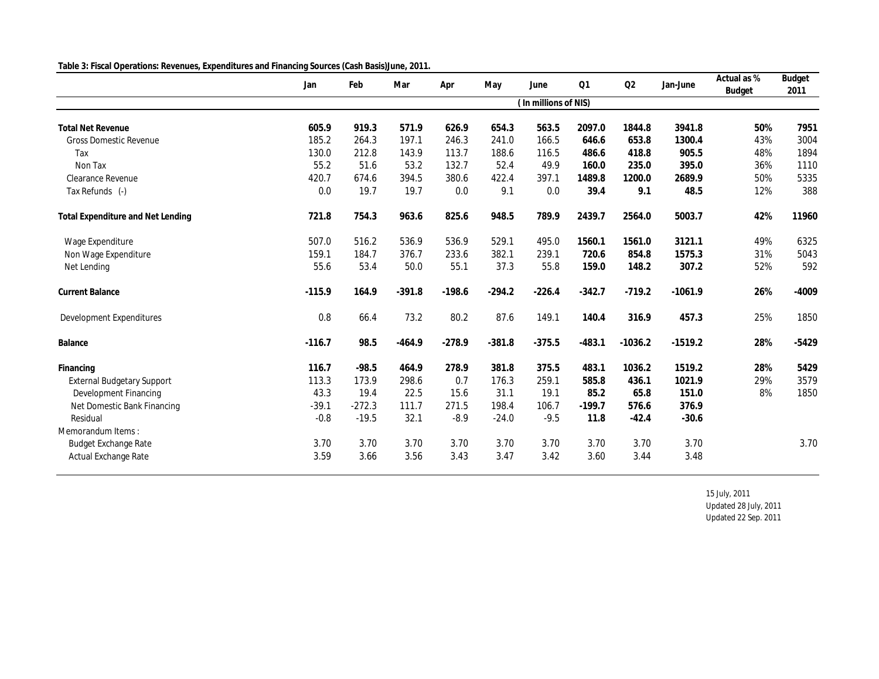| Table 3: Fiscal Operations: Revenues, Expenditures and Financing Sources (Cash Basis) June, 2011. |  |  |  |  |
|---------------------------------------------------------------------------------------------------|--|--|--|--|
|                                                                                                   |  |  |  |  |

|                                   | Jan      | Feb      | Mar      | Apr      | May      | June                 | Q1       | Q2        | Jan-June  | Actual as % | Budget  |
|-----------------------------------|----------|----------|----------|----------|----------|----------------------|----------|-----------|-----------|-------------|---------|
|                                   |          |          |          |          |          | (In millions of NIS) |          |           |           | Budget      | 2011    |
|                                   |          |          |          |          |          |                      |          |           |           |             |         |
| <b>Total Net Revenue</b>          | 605.9    | 919.3    | 571.9    | 626.9    | 654.3    | 563.5                | 2097.0   | 1844.8    | 3941.8    | 50%         | 7951    |
| <b>Gross Domestic Revenue</b>     | 185.2    | 264.3    | 197.1    | 246.3    | 241.0    | 166.5                | 646.6    | 653.8     | 1300.4    | 43%         | 3004    |
| Tax                               | 130.0    | 212.8    | 143.9    | 113.7    | 188.6    | 116.5                | 486.6    | 418.8     | 905.5     | 48%         | 1894    |
| Non Tax                           | 55.2     | 51.6     | 53.2     | 132.7    | 52.4     | 49.9                 | 160.0    | 235.0     | 395.0     | 36%         | 1110    |
| Clearance Revenue                 | 420.7    | 674.6    | 394.5    | 380.6    | 422.4    | 397.1                | 1489.8   | 1200.0    | 2689.9    | 50%         | 5335    |
| Tax Refunds (-)                   | 0.0      | 19.7     | 19.7     | 0.0      | 9.1      | 0.0                  | 39.4     | 9.1       | 48.5      | 12%         | 388     |
| Total Expenditure and Net Lending | 721.8    | 754.3    | 963.6    | 825.6    | 948.5    | 789.9                | 2439.7   | 2564.0    | 5003.7    | 42%         | 11960   |
| Wage Expenditure                  | 507.0    | 516.2    | 536.9    | 536.9    | 529.1    | 495.0                | 1560.1   | 1561.0    | 3121.1    | 49%         | 6325    |
| Non Wage Expenditure              | 159.1    | 184.7    | 376.7    | 233.6    | 382.1    | 239.1                | 720.6    | 854.8     | 1575.3    | 31%         | 5043    |
| Net Lending                       | 55.6     | 53.4     | 50.0     | 55.1     | 37.3     | 55.8                 | 159.0    | 148.2     | 307.2     | 52%         | 592     |
| <b>Current Balance</b>            | $-115.9$ | 164.9    | $-391.8$ | $-198.6$ | $-294.2$ | $-226.4$             | $-342.7$ | $-719.2$  | $-1061.9$ | 26%         | $-4009$ |
| Development Expenditures          | 0.8      | 66.4     | 73.2     | 80.2     | 87.6     | 149.1                | 140.4    | 316.9     | 457.3     | 25%         | 1850    |
| Balance                           | $-116.7$ | 98.5     | $-464.9$ | $-278.9$ | $-381.8$ | $-375.5$             | $-483.1$ | $-1036.2$ | $-1519.2$ | 28%         | $-5429$ |
| Financing                         | 116.7    | $-98.5$  | 464.9    | 278.9    | 381.8    | 375.5                | 483.1    | 1036.2    | 1519.2    | 28%         | 5429    |
| <b>External Budgetary Support</b> | 113.3    | 173.9    | 298.6    | 0.7      | 176.3    | 259.1                | 585.8    | 436.1     | 1021.9    | 29%         | 3579    |
| Development Financing             | 43.3     | 19.4     | 22.5     | 15.6     | 31.1     | 19.1                 | 85.2     | 65.8      | 151.0     | 8%          | 1850    |
| Net Domestic Bank Financing       | $-39.1$  | $-272.3$ | 111.7    | 271.5    | 198.4    | 106.7                | $-199.7$ | 576.6     | 376.9     |             |         |
| Residual                          | $-0.8$   | $-19.5$  | 32.1     | $-8.9$   | $-24.0$  | $-9.5$               | 11.8     | $-42.4$   | $-30.6$   |             |         |
| Memorandum Items:                 |          |          |          |          |          |                      |          |           |           |             |         |
| Budget Exchange Rate              | 3.70     | 3.70     | 3.70     | 3.70     | 3.70     | 3.70                 | 3.70     | 3.70      | 3.70      |             | 3.70    |
| Actual Exchange Rate              | 3.59     | 3.66     | 3.56     | 3.43     | 3.47     | 3.42                 | 3.60     | 3.44      | 3.48      |             |         |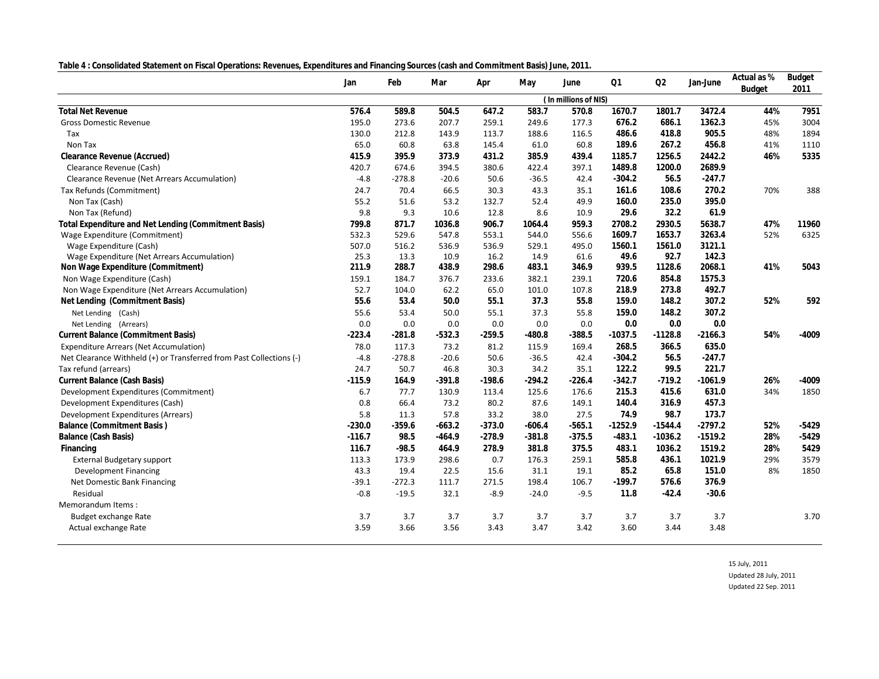**Table 4 : Consolidated Statement on Fiscal Operations: Revenues, Expenditures and Financing Sources (cash and Commitment Basis) June, 2011.**

| rapic +. Consolidated statement on niscal Operations. Revenues, Experiental Cs and Financing Sources (cash and commitment Dasis) sunc, ZOTT. | Jan      | Feb      | Mar      | Apr      | May      | June                 | Q1        | Q2        | Jan-June  | Actual as %<br>Budget | Budget<br>2011 |
|----------------------------------------------------------------------------------------------------------------------------------------------|----------|----------|----------|----------|----------|----------------------|-----------|-----------|-----------|-----------------------|----------------|
|                                                                                                                                              |          |          |          |          |          | (In millions of NIS) |           |           |           |                       |                |
| <b>Total Net Revenue</b>                                                                                                                     | 576.4    | 589.8    | 504.5    | 647.2    | 583.7    | 570.8                | 1670.7    | 1801.7    | 3472.4    | 44%                   | 7951           |
| <b>Gross Domestic Revenue</b>                                                                                                                | 195.0    | 273.6    | 207.7    | 259.1    | 249.6    | 177.3                | 676.2     | 686.1     | 1362.3    | 45%                   | 3004           |
| Tax                                                                                                                                          | 130.0    | 212.8    | 143.9    | 113.7    | 188.6    | 116.5                | 486.6     | 418.8     | 905.5     | 48%                   | 1894           |
| Non Tax                                                                                                                                      | 65.0     | 60.8     | 63.8     | 145.4    | 61.0     | 60.8                 | 189.6     | 267.2     | 456.8     | 41%                   | 1110           |
| Clearance Revenue (Accrued)                                                                                                                  | 415.9    | 395.9    | 373.9    | 431.2    | 385.9    | 439.4                | 1185.7    | 1256.5    | 2442.2    | 46%                   | 5335           |
| Clearance Revenue (Cash)                                                                                                                     | 420.7    | 674.6    | 394.5    | 380.6    | 422.4    | 397.1                | 1489.8    | 1200.0    | 2689.9    |                       |                |
| Clearance Revenue (Net Arrears Accumulation)                                                                                                 | $-4.8$   | $-278.8$ | $-20.6$  | 50.6     | $-36.5$  | 42.4                 | $-304.2$  | 56.5      | $-247.7$  |                       |                |
| Tax Refunds (Commitment)                                                                                                                     | 24.7     | 70.4     | 66.5     | 30.3     | 43.3     | 35.1                 | 161.6     | 108.6     | 270.2     | 70%                   | 388            |
| Non Tax (Cash)                                                                                                                               | 55.2     | 51.6     | 53.2     | 132.7    | 52.4     | 49.9                 | 160.0     | 235.0     | 395.0     |                       |                |
| Non Tax (Refund)                                                                                                                             | 9.8      | 9.3      | 10.6     | 12.8     | 8.6      | 10.9                 | 29.6      | 32.2      | 61.9      |                       |                |
| Total Expenditure and Net Lending (Commitment Basis)                                                                                         | 799.8    | 871.7    | 1036.8   | 906.7    | 1064.4   | 959.3                | 2708.2    | 2930.5    | 5638.7    | 47%                   | 11960          |
| Wage Expenditure (Commitment)                                                                                                                | 532.3    | 529.6    | 547.8    | 553.1    | 544.0    | 556.6                | 1609.7    | 1653.7    | 3263.4    | 52%                   | 6325           |
| Wage Expenditure (Cash)                                                                                                                      | 507.0    | 516.2    | 536.9    | 536.9    | 529.1    | 495.0                | 1560.1    | 1561.0    | 3121.1    |                       |                |
| Wage Expenditure (Net Arrears Accumulation)                                                                                                  | 25.3     | 13.3     | 10.9     | 16.2     | 14.9     | 61.6                 | 49.6      | 92.7      | 142.3     |                       |                |
| Non Wage Expenditure (Commitment)                                                                                                            | 211.9    | 288.7    | 438.9    | 298.6    | 483.1    | 346.9                | 939.5     | 1128.6    | 2068.1    | 41%                   | 5043           |
| Non Wage Expenditure (Cash)                                                                                                                  | 159.1    | 184.7    | 376.7    | 233.6    | 382.1    | 239.1                | 720.6     | 854.8     | 1575.3    |                       |                |
| Non Wage Expenditure (Net Arrears Accumulation)                                                                                              | 52.7     | 104.0    | 62.2     | 65.0     | 101.0    | 107.8                | 218.9     | 273.8     | 492.7     |                       |                |
| Net Lending (Commitment Basis)                                                                                                               | 55.6     | 53.4     | 50.0     | 55.1     | 37.3     | 55.8                 | 159.0     | 148.2     | 307.2     | 52%                   | 592            |
| Net Lending (Cash)                                                                                                                           | 55.6     | 53.4     | 50.0     | 55.1     | 37.3     | 55.8                 | 159.0     | 148.2     | 307.2     |                       |                |
| Net Lending (Arrears)                                                                                                                        | 0.0      | 0.0      | 0.0      | 0.0      | 0.0      | 0.0                  | 0.0       | 0.0       | 0.0       |                       |                |
| Current Balance (Commitment Basis)                                                                                                           | $-223.4$ | $-281.8$ | $-532.3$ | $-259.5$ | $-480.8$ | $-388.5$             | $-1037.5$ | $-1128.8$ | $-2166.3$ | 54%                   | -4009          |
| <b>Expenditure Arrears (Net Accumulation)</b>                                                                                                | 78.0     | 117.3    | 73.2     | 81.2     | 115.9    | 169.4                | 268.5     | 366.5     | 635.0     |                       |                |
| Net Clearance Withheld (+) or Transferred from Past Collections (-)                                                                          | $-4.8$   | $-278.8$ | $-20.6$  | 50.6     | $-36.5$  | 42.4                 | $-304.2$  | 56.5      | $-247.7$  |                       |                |
| Tax refund (arrears)                                                                                                                         | 24.7     | 50.7     | 46.8     | 30.3     | 34.2     | 35.1                 | 122.2     | 99.5      | 221.7     |                       |                |
| Current Balance (Cash Basis)                                                                                                                 | $-115.9$ | 164.9    | $-391.8$ | $-198.6$ | $-294.2$ | $-226.4$             | $-342.7$  | $-719.2$  | $-1061.9$ | 26%                   | $-4009$        |
| Development Expenditures (Commitment)                                                                                                        | 6.7      | 77.7     | 130.9    | 113.4    | 125.6    | 176.6                | 215.3     | 415.6     | 631.0     | 34%                   | 1850           |
| Development Expenditures (Cash)                                                                                                              | 0.8      | 66.4     | 73.2     | 80.2     | 87.6     | 149.1                | 140.4     | 316.9     | 457.3     |                       |                |
| Development Expenditures (Arrears)                                                                                                           | 5.8      | 11.3     | 57.8     | 33.2     | 38.0     | 27.5                 | 74.9      | 98.7      | 173.7     |                       |                |
| Balance (Commitment Basis)                                                                                                                   | $-230.0$ | $-359.6$ | $-663.2$ | $-373.0$ | $-606.4$ | $-565.1$             | $-1252.9$ | $-1544.4$ | $-2797.2$ | 52%                   | $-5429$        |
| Balance (Cash Basis)                                                                                                                         | $-116.7$ | 98.5     | $-464.9$ | $-278.9$ | $-381.8$ | $-375.5$             | $-483.1$  | $-1036.2$ | $-1519.2$ | 28%                   | $-5429$        |
| Financing                                                                                                                                    | 116.7    | $-98.5$  | 464.9    | 278.9    | 381.8    | 375.5                | 483.1     | 1036.2    | 1519.2    | 28%                   | 5429           |
| <b>External Budgetary support</b>                                                                                                            | 113.3    | 173.9    | 298.6    | 0.7      | 176.3    | 259.1                | 585.8     | 436.1     | 1021.9    | 29%                   | 3579           |
| <b>Development Financing</b>                                                                                                                 | 43.3     | 19.4     | 22.5     | 15.6     | 31.1     | 19.1                 | 85.2      | 65.8      | 151.0     | 8%                    | 1850           |
| Net Domestic Bank Financing                                                                                                                  | $-39.1$  | $-272.3$ | 111.7    | 271.5    | 198.4    | 106.7                | $-199.7$  | 576.6     | 376.9     |                       |                |
| Residual                                                                                                                                     | $-0.8$   | $-19.5$  | 32.1     | $-8.9$   | $-24.0$  | $-9.5$               | 11.8      | $-42.4$   | $-30.6$   |                       |                |
| Memorandum Items:                                                                                                                            |          |          |          |          |          |                      |           |           |           |                       |                |
| Budget exchange Rate                                                                                                                         | 3.7      | 3.7      | 3.7      | 3.7      | 3.7      | 3.7                  | 3.7       | 3.7       | 3.7       |                       | 3.70           |
| Actual exchange Rate                                                                                                                         | 3.59     | 3.66     | 3.56     | 3.43     | 3.47     | 3.42                 | 3.60      | 3.44      | 3.48      |                       |                |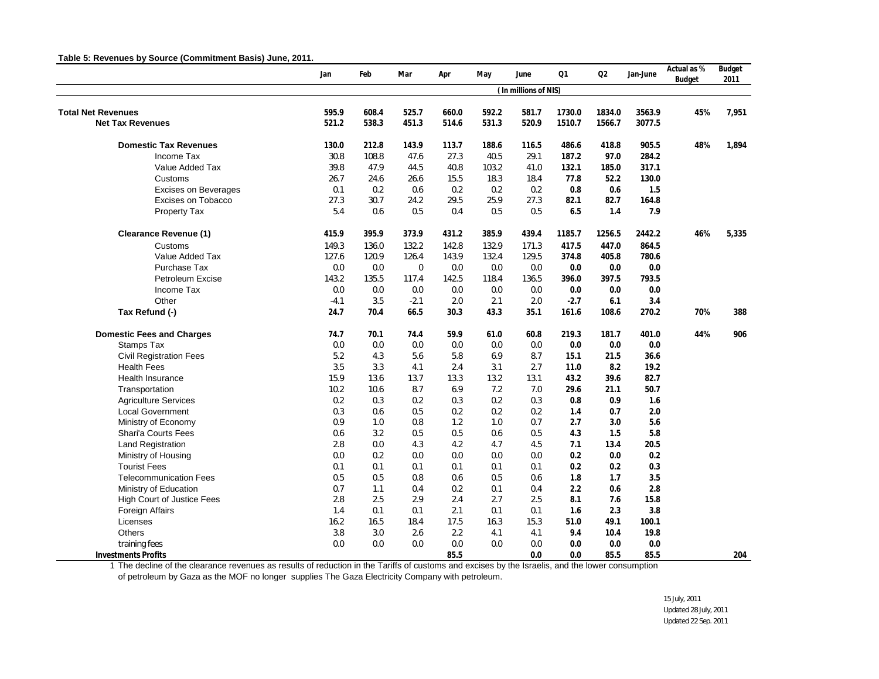#### **Table 5: Revenues by Source (Commitment Basis) June, 2011.**

|                                   | Jan    | Feb   | Mar         | Apr   | May   | June                 | Q1     | Q2     | Jan-June | Actual as %<br>Budget | Budget<br>2011 |
|-----------------------------------|--------|-------|-------------|-------|-------|----------------------|--------|--------|----------|-----------------------|----------------|
|                                   |        |       |             |       |       | (In millions of NIS) |        |        |          |                       |                |
| <b>Total Net Revenues</b>         | 595.9  | 608.4 | 525.7       | 660.0 | 592.2 | 581.7                | 1730.0 | 1834.0 | 3563.9   | 45%                   | 7,951          |
| <b>Net Tax Revenues</b>           | 521.2  | 538.3 | 451.3       | 514.6 | 531.3 | 520.9                | 1510.7 | 1566.7 | 3077.5   |                       |                |
| <b>Domestic Tax Revenues</b>      | 130.0  | 212.8 | 143.9       | 113.7 | 188.6 | 116.5                | 486.6  | 418.8  | 905.5    | 48%                   | 1,894          |
| Income Tax                        | 30.8   | 108.8 | 47.6        | 27.3  | 40.5  | 29.1                 | 187.2  | 97.0   | 284.2    |                       |                |
| Value Added Tax                   | 39.8   | 47.9  | 44.5        | 40.8  | 103.2 | 41.0                 | 132.1  | 185.0  | 317.1    |                       |                |
| Customs                           | 26.7   | 24.6  | 26.6        | 15.5  | 18.3  | 18.4                 | 77.8   | 52.2   | 130.0    |                       |                |
| <b>Excises on Beverages</b>       | 0.1    | 0.2   | 0.6         | 0.2   | 0.2   | 0.2                  | 0.8    | 0.6    | 1.5      |                       |                |
| <b>Excises on Tobacco</b>         | 27.3   | 30.7  | 24.2        | 29.5  | 25.9  | 27.3                 | 82.1   | 82.7   | 164.8    |                       |                |
| Property Tax                      | 5.4    | 0.6   | 0.5         | 0.4   | 0.5   | 0.5                  | 6.5    | 1.4    | 7.9      |                       |                |
| <b>Clearance Revenue (1)</b>      | 415.9  | 395.9 | 373.9       | 431.2 | 385.9 | 439.4                | 1185.7 | 1256.5 | 2442.2   | 46%                   | 5,335          |
| Customs                           | 149.3  | 136.0 | 132.2       | 142.8 | 132.9 | 171.3                | 417.5  | 447.0  | 864.5    |                       |                |
| Value Added Tax                   | 127.6  | 120.9 | 126.4       | 143.9 | 132.4 | 129.5                | 374.8  | 405.8  | 780.6    |                       |                |
| Purchase Tax                      | 0.0    | 0.0   | $\mathbf 0$ | 0.0   | 0.0   | 0.0                  | 0.0    | 0.0    | 0.0      |                       |                |
| Petroleum Excise                  | 143.2  | 135.5 | 117.4       | 142.5 | 118.4 | 136.5                | 396.0  | 397.5  | 793.5    |                       |                |
| Income Tax                        | 0.0    | 0.0   | 0.0         | 0.0   | 0.0   | 0.0                  | 0.0    | 0.0    | 0.0      |                       |                |
| Other                             | $-4.1$ | 3.5   | $-2.1$      | 2.0   | 2.1   | 2.0                  | $-2.7$ | 6.1    | 3.4      |                       |                |
| Tax Refund (-)                    | 24.7   | 70.4  | 66.5        | 30.3  | 43.3  | 35.1                 | 161.6  | 108.6  | 270.2    | 70%                   | 388            |
| <b>Domestic Fees and Charges</b>  | 74.7   | 70.1  | 74.4        | 59.9  | 61.0  | 60.8                 | 219.3  | 181.7  | 401.0    | 44%                   | 906            |
| <b>Stamps Tax</b>                 | 0.0    | 0.0   | 0.0         | 0.0   | 0.0   | 0.0                  | 0.0    | 0.0    | 0.0      |                       |                |
| <b>Civil Registration Fees</b>    | 5.2    | 4.3   | 5.6         | 5.8   | 6.9   | 8.7                  | 15.1   | 21.5   | 36.6     |                       |                |
| <b>Health Fees</b>                | 3.5    | 3.3   | 4.1         | 2.4   | 3.1   | 2.7                  | 11.0   | 8.2    | 19.2     |                       |                |
| <b>Health Insurance</b>           | 15.9   | 13.6  | 13.7        | 13.3  | 13.2  | 13.1                 | 43.2   | 39.6   | 82.7     |                       |                |
| Transportation                    | 10.2   | 10.6  | 8.7         | 6.9   | 7.2   | 7.0                  | 29.6   | 21.1   | 50.7     |                       |                |
| <b>Agriculture Services</b>       | 0.2    | 0.3   | 0.2         | 0.3   | 0.2   | 0.3                  | 0.8    | 0.9    | 1.6      |                       |                |
| <b>Local Government</b>           | 0.3    | 0.6   | 0.5         | 0.2   | 0.2   | 0.2                  | 1.4    | 0.7    | 2.0      |                       |                |
| Ministry of Economy               | 0.9    | 1.0   | 0.8         | 1.2   | 1.0   | 0.7                  | 2.7    | 3.0    | 5.6      |                       |                |
| Shari'a Courts Fees               | 0.6    | 3.2   | 0.5         | 0.5   | 0.6   | 0.5                  | 4.3    | 1.5    | 5.8      |                       |                |
| <b>Land Registration</b>          | 2.8    | 0.0   | 4.3         | 4.2   | 4.7   | 4.5                  | 7.1    | 13.4   | 20.5     |                       |                |
| Ministry of Housing               | 0.0    | 0.2   | 0.0         | 0.0   | 0.0   | 0.0                  | 0.2    | 0.0    | 0.2      |                       |                |
| <b>Tourist Fees</b>               | 0.1    | 0.1   | 0.1         | 0.1   | 0.1   | 0.1                  | 0.2    | 0.2    | 0.3      |                       |                |
| <b>Telecommunication Fees</b>     | 0.5    | 0.5   | 0.8         | 0.6   | 0.5   | 0.6                  | 1.8    | 1.7    | 3.5      |                       |                |
| Ministry of Education             | 0.7    | 1.1   | 0.4         | 0.2   | 0.1   | 0.4                  | 2.2    | 0.6    | 2.8      |                       |                |
| <b>High Court of Justice Fees</b> | 2.8    | 2.5   | 2.9         | 2.4   | 2.7   | 2.5                  | 8.1    | 7.6    | 15.8     |                       |                |
| <b>Foreign Affairs</b>            | 1.4    | 0.1   | 0.1         | 2.1   | 0.1   | 0.1                  | 1.6    | 2.3    | 3.8      |                       |                |
| Licenses                          | 16.2   | 16.5  | 18.4        | 17.5  | 16.3  | 15.3                 | 51.0   | 49.1   | 100.1    |                       |                |
| Others                            | 3.8    | 3.0   | 2.6         | 2.2   | 4.1   | 4.1                  | 9.4    | 10.4   | 19.8     |                       |                |
| training fees                     | 0.0    | 0.0   | 0.0         | 0.0   | 0.0   | 0.0                  | 0.0    | 0.0    | 0.0      |                       |                |
| Investments Profits               |        |       |             | 85.5  |       | 0.0                  | 0.0    | 85.5   | 85.5     |                       | 204            |

1 The decline of the clearance revenues as results of reduction in the Tariffs of customs and excises by the Israelis, and the lower consumption

of petroleum by Gaza as the MOF no longer supplies The Gaza Electricity Company with petroleum.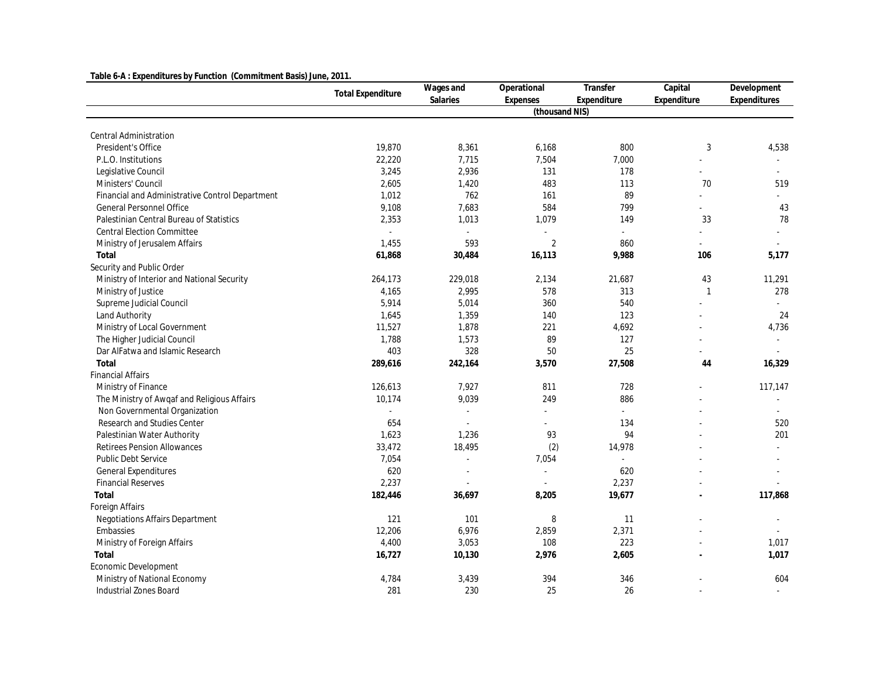| Table 6-A: Expenditures by Function (Commitment Basis) June, 2011. |                          |                             |                       |                          |              |              |
|--------------------------------------------------------------------|--------------------------|-----------------------------|-----------------------|--------------------------|--------------|--------------|
|                                                                    | <b>Total Expenditure</b> | Wages and                   | Operational           | Transfer                 | Capital      | Development  |
|                                                                    |                          | Salaries                    | Expenses              | Expenditure              | Expenditure  | Expenditures |
|                                                                    |                          |                             | (thousand NIS)        |                          |              |              |
| <b>Central Administration</b>                                      |                          |                             |                       |                          |              |              |
| President's Office                                                 | 19,870                   | 8,361                       | 6,168                 | 800                      | $\sqrt{3}$   | 4,538        |
| P.L.O. Institutions                                                | 22,220                   | 7,715                       | 7,504                 | 7,000                    |              |              |
| Legislative Council                                                | 3,245                    | 2,936                       | 131                   | 178                      |              |              |
| Ministers' Council                                                 | 2,605                    | 1,420                       | 483                   | 113                      | 70           | 519          |
| Financial and Administrative Control Department                    | 1,012                    | 762                         | 161                   | 89                       |              |              |
| General Personnel Office                                           | 9,108                    | 7,683                       | 584                   | 799                      |              | 43           |
| Palestinian Central Bureau of Statistics                           | 2,353                    | 1,013                       | 1,079                 | 149                      | 33           | 78           |
| Central Election Committee                                         | $\sim$                   | $\sim$                      | $\tilde{\phantom{a}}$ | $\overline{\phantom{a}}$ |              |              |
| Ministry of Jerusalem Affairs                                      | 1,455                    | 593                         | $\overline{2}$        | 860                      |              |              |
| Total                                                              | 61,868                   | 30,484                      | 16,113                | 9,988                    | 106          | 5,177        |
| Security and Public Order                                          |                          |                             |                       |                          |              |              |
| Ministry of Interior and National Security                         | 264,173                  | 229,018                     | 2,134                 | 21,687                   | 43           | 11,291       |
| Ministry of Justice                                                | 4,165                    | 2,995                       | 578                   | 313                      | $\mathbf{1}$ | 278          |
| Supreme Judicial Council                                           | 5,914                    | 5,014                       | 360                   | 540                      |              |              |
| Land Authority                                                     | 1,645                    | 1,359                       | 140                   | 123                      |              | 24           |
| Ministry of Local Government                                       | 11,527                   | 1,878                       | 221                   | 4,692                    |              | 4,736        |
| The Higher Judicial Council                                        | 1,788                    | 1,573                       | 89                    | 127                      |              | $\omega$     |
| Dar AlFatwa and Islamic Research                                   | 403                      | 328                         | 50                    | 25                       |              |              |
| Total                                                              | 289,616                  | 242,164                     | 3,570                 | 27,508                   | 44           | 16,329       |
| <b>Financial Affairs</b>                                           |                          |                             |                       |                          |              |              |
| Ministry of Finance                                                | 126,613                  | 7,927                       | 811                   | 728                      |              | 117,147      |
| The Ministry of Awqaf and Religious Affairs                        | 10,174                   | 9,039                       | 249                   | 886                      |              |              |
| Non Governmental Organization                                      | $\sim$                   | $\mathcal{L}_{\mathcal{A}}$ | ä,                    | ä,                       |              | ÷.           |
| Research and Studies Center                                        | 654                      |                             | ÷.                    | 134                      |              | 520          |
| Palestinian Water Authority                                        | 1,623                    | 1,236                       | 93                    | 94                       |              | 201          |
| <b>Retirees Pension Allowances</b>                                 | 33,472                   | 18,495                      | (2)                   | 14,978                   |              |              |
| <b>Public Debt Service</b>                                         | 7,054                    | $\omega$                    | 7,054                 | $\overline{\phantom{a}}$ |              |              |
| General Expenditures                                               | 620                      |                             | ä,                    | 620                      |              |              |
| <b>Financial Reserves</b>                                          | 2,237                    |                             | $\overline{a}$        | 2,237                    |              |              |
| Total                                                              | 182,446                  | 36,697                      | 8,205                 | 19,677                   |              | 117,868      |
| Foreign Affairs                                                    |                          |                             |                       |                          |              |              |
| Negotiations Affairs Department                                    | 121                      | 101                         | 8                     | 11                       |              |              |
| Embassies                                                          | 12,206                   | 6,976                       | 2,859                 | 2,371                    |              |              |
| Ministry of Foreign Affairs                                        | 4,400                    | 3,053                       | 108                   | 223                      |              | 1,017        |
| Total                                                              | 16,727                   | 10,130                      | 2,976                 | 2,605                    |              | 1,017        |
| Economic Development                                               |                          |                             |                       |                          |              |              |
| Ministry of National Economy                                       | 4,784                    | 3,439                       | 394                   | 346                      |              | 604          |
| Industrial Zones Board                                             | 281                      | 230                         | 25                    | 26                       |              |              |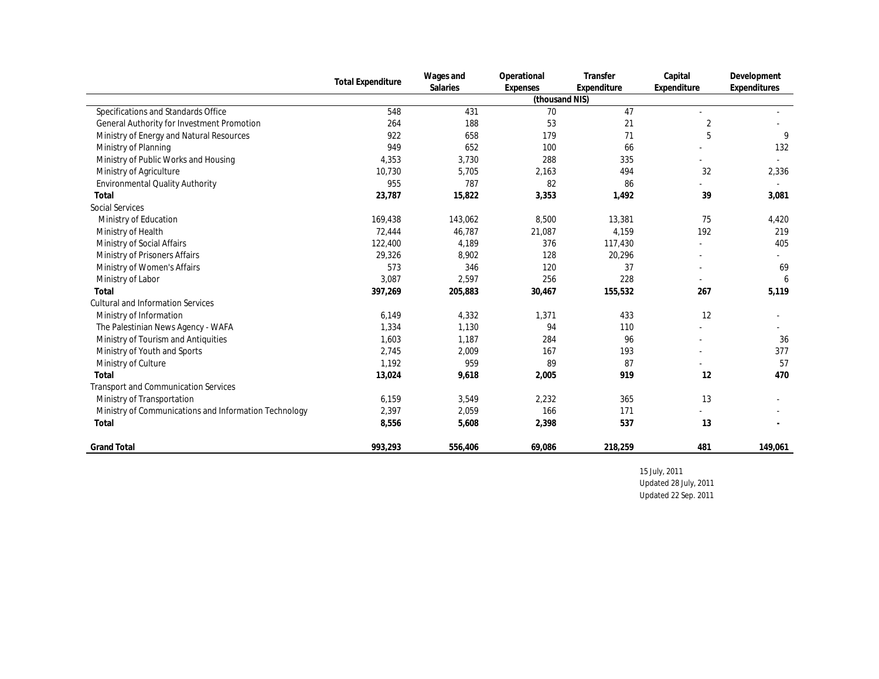|                                                       | <b>Total Expenditure</b> | Wages and | Operational    | Transfer    | Capital     | Development  |
|-------------------------------------------------------|--------------------------|-----------|----------------|-------------|-------------|--------------|
|                                                       |                          | Salaries  | Expenses       | Expenditure | Expenditure | Expenditures |
|                                                       |                          |           | (thousand NIS) |             |             |              |
| Specifications and Standards Office                   | 548                      | 431       | 70             | 47          |             |              |
| General Authority for Investment Promotion            | 264                      | 188       | 53             | 21          | 2           |              |
| Ministry of Energy and Natural Resources              | 922                      | 658       | 179            | 71          | 5           | 9            |
| Ministry of Planning                                  | 949                      | 652       | 100            | 66          |             | 132          |
| Ministry of Public Works and Housing                  | 4,353                    | 3,730     | 288            | 335         |             |              |
| Ministry of Agriculture                               | 10,730                   | 5,705     | 2,163          | 494         | 32          | 2,336        |
| Environmental Quality Authority                       | 955                      | 787       | 82             | 86          |             |              |
| Total                                                 | 23,787                   | 15,822    | 3,353          | 1,492       | 39          | 3,081        |
| Social Services                                       |                          |           |                |             |             |              |
| Ministry of Education                                 | 169,438                  | 143,062   | 8,500          | 13,381      | 75          | 4,420        |
| Ministry of Health                                    | 72.444                   | 46.787    | 21,087         | 4.159       | 192         | 219          |
| Ministry of Social Affairs                            | 122,400                  | 4,189     | 376            | 117,430     |             | 405          |
| Ministry of Prisoners Affairs                         | 29,326                   | 8,902     | 128            | 20,296      |             |              |
| Ministry of Women's Affairs                           | 573                      | 346       | 120            | 37          |             | 69           |
| Ministry of Labor                                     | 3.087                    | 2,597     | 256            | 228         |             | 6            |
| Total                                                 | 397,269                  | 205,883   | 30,467         | 155,532     | 267         | 5,119        |
| <b>Cultural and Information Services</b>              |                          |           |                |             |             |              |
| Ministry of Information                               | 6,149                    | 4,332     | 1,371          | 433         | 12          |              |
| The Palestinian News Agency - WAFA                    | 1,334                    | 1,130     | 94             | 110         |             |              |
| Ministry of Tourism and Antiquities                   | 1,603                    | 1,187     | 284            | 96          |             | 36           |
| Ministry of Youth and Sports                          | 2,745                    | 2,009     | 167            | 193         |             | 377          |
| Ministry of Culture                                   | 1,192                    | 959       | 89             | 87          |             | 57           |
| Total                                                 | 13,024                   | 9,618     | 2,005          | 919         | 12          | 470          |
| Transport and Communication Services                  |                          |           |                |             |             |              |
| Ministry of Transportation                            | 6,159                    | 3,549     | 2,232          | 365         | 13          |              |
| Ministry of Communications and Information Technology | 2,397                    | 2,059     | 166            | 171         |             |              |
| Total                                                 | 8,556                    | 5,608     | 2,398          | 537         | 13          |              |
| <b>Grand Total</b>                                    | 993,293                  | 556,406   | 69,086         | 218,259     | 481         | 149,061      |

15 July, 2011 Updated 28 July, 2011

Updated 22 Sep. 2011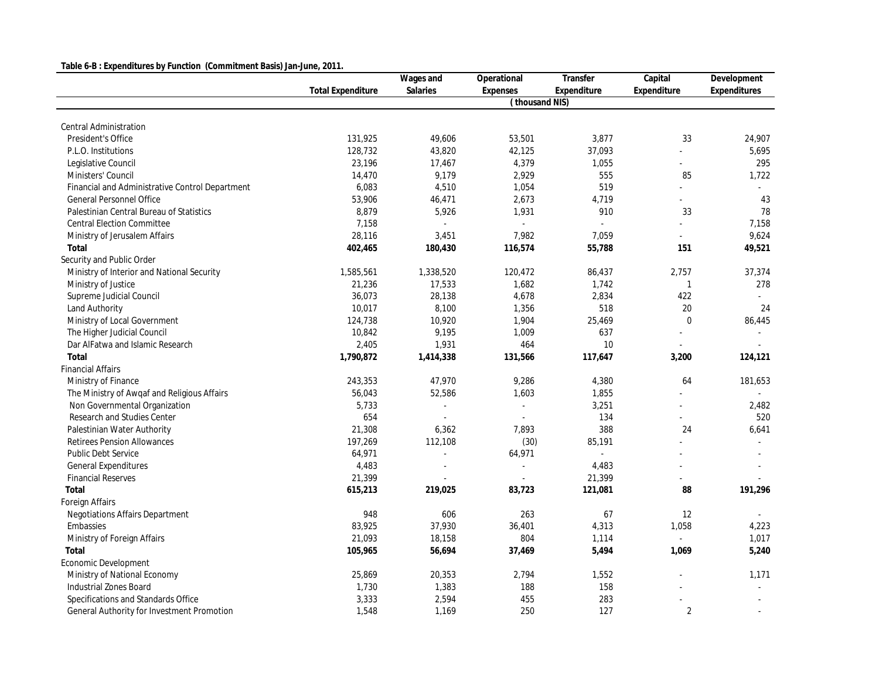### **Table 6-B : Expenditures by Function (Commitment Basis) Jan-June, 2011.**

|                                                 |                          | Wages and | Operational         | Transfer    | Capital        | Development  |
|-------------------------------------------------|--------------------------|-----------|---------------------|-------------|----------------|--------------|
|                                                 | <b>Total Expenditure</b> | Salaries  | Expenses            | Expenditure | Expenditure    | Expenditures |
|                                                 |                          |           | (thousand NIS)      |             |                |              |
|                                                 |                          |           |                     |             |                |              |
| Central Administration                          |                          |           |                     |             |                |              |
| President's Office                              | 131,925                  | 49,606    | 53,501              | 3,877       | 33             | 24,907       |
| P.L.O. Institutions                             | 128,732                  | 43,820    | 42,125              | 37,093      |                | 5,695        |
| Legislative Council                             | 23,196                   | 17,467    | 4,379               | 1,055       | L.             | 295          |
| Ministers' Council                              | 14,470                   | 9,179     | 2,929               | 555         | 85             | 1,722        |
| Financial and Administrative Control Department | 6,083                    | 4,510     | 1,054               | 519         |                |              |
| General Personnel Office                        | 53,906                   | 46,471    | 2,673               | 4,719       |                | 43           |
| Palestinian Central Bureau of Statistics        | 8,879                    | 5,926     | 1,931               | 910         | 33             | 78           |
| <b>Central Election Committee</b>               | 7,158                    |           | ÷.                  | L.          |                | 7,158        |
| Ministry of Jerusalem Affairs                   | 28,116                   | 3,451     | 7,982               | 7,059       | $\mathbf{r}$   | 9,624        |
| Total                                           | 402,465                  | 180,430   | 116,574             | 55,788      | 151            | 49,521       |
| Security and Public Order                       |                          |           |                     |             |                |              |
| Ministry of Interior and National Security      | 1,585,561                | 1,338,520 | 120,472             | 86,437      | 2,757          | 37,374       |
| Ministry of Justice                             | 21,236                   | 17,533    | 1,682               | 1,742       | $\mathbf{1}$   | 278          |
| Supreme Judicial Council                        | 36,073                   | 28,138    | 4,678               | 2,834       | 422            |              |
| Land Authority                                  | 10,017                   | 8,100     | 1,356               | 518         | 20             | 24           |
| Ministry of Local Government                    | 124,738                  | 10,920    | 1,904               | 25,469      | $\overline{0}$ | 86,445       |
| The Higher Judicial Council                     | 10,842                   | 9,195     | 1,009               | 637         |                |              |
| Dar AlFatwa and Islamic Research                | 2,405                    | 1,931     | 464                 | 10          |                |              |
| Total                                           | 1,790,872                | 1,414,338 | 131,566             | 117,647     | 3,200          | 124,121      |
| <b>Financial Affairs</b>                        |                          |           |                     |             |                |              |
| Ministry of Finance                             | 243,353                  | 47,970    | 9,286               | 4,380       | 64             | 181,653      |
| The Ministry of Awqaf and Religious Affairs     | 56,043                   | 52,586    | 1,603               | 1,855       |                |              |
| Non Governmental Organization                   | 5,733                    |           | $\bar{\phantom{a}}$ | 3,251       |                | 2,482        |
| Research and Studies Center                     | 654                      |           |                     | 134         |                | 520          |
| Palestinian Water Authority                     | 21,308                   | 6,362     | 7,893               | 388         | 24             | 6,641        |
| <b>Retirees Pension Allowances</b>              | 197,269                  | 112,108   | (30)                | 85,191      |                |              |
| Public Debt Service                             | 64,971                   |           | 64,971              | $\omega$    |                |              |
| General Expenditures                            | 4,483                    |           | à.                  | 4,483       |                |              |
| <b>Financial Reserves</b>                       | 21,399                   |           |                     | 21,399      |                |              |
| Total                                           | 615,213                  | 219,025   | 83,723              | 121,081     | 88             | 191,296      |
| Foreign Affairs                                 |                          |           |                     |             |                |              |
| Negotiations Affairs Department                 | 948                      | 606       | 263                 | 67          | 12             |              |
| Embassies                                       | 83,925                   | 37,930    | 36,401              | 4,313       | 1,058          | 4,223        |
| Ministry of Foreign Affairs                     | 21,093                   | 18,158    | 804                 | 1,114       | $\Delta$       | 1,017        |
| Total                                           | 105,965                  | 56,694    | 37,469              | 5,494       | 1,069          | 5,240        |
| Economic Development                            |                          |           |                     |             |                |              |
| Ministry of National Economy                    | 25,869                   | 20,353    | 2,794               | 1,552       |                | 1,171        |
| Industrial Zones Board                          | 1,730                    | 1,383     | 188                 | 158         |                |              |
| Specifications and Standards Office             | 3,333                    | 2,594     | 455                 | 283         |                |              |
| General Authority for Investment Promotion      | 1,548                    | 1,169     | 250                 | 127         | 2              |              |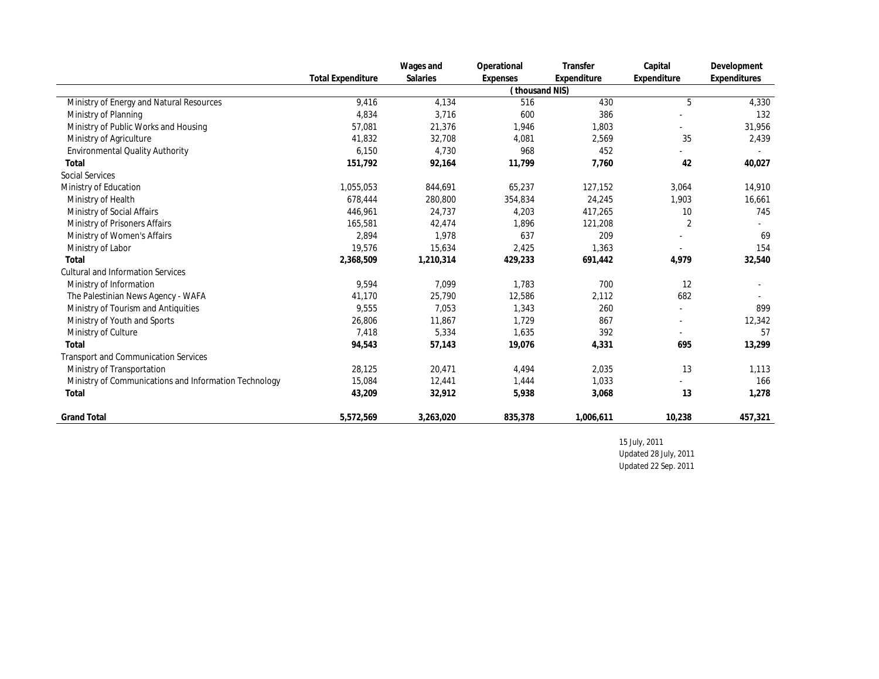|                                                       |                          | Wages and | Operational   | Transfer    | Capital        | Development  |
|-------------------------------------------------------|--------------------------|-----------|---------------|-------------|----------------|--------------|
|                                                       | <b>Total Expenditure</b> | Salaries  | Expenses      | Expenditure | Expenditure    | Expenditures |
|                                                       |                          |           | thousand NIS) |             |                |              |
| Ministry of Energy and Natural Resources              | 9,416                    | 4,134     | 516           | 430         | 5              | 4,330        |
| Ministry of Planning                                  | 4,834                    | 3,716     | 600           | 386         |                | 132          |
| Ministry of Public Works and Housing                  | 57,081                   | 21,376    | 1,946         | 1,803       |                | 31,956       |
| Ministry of Agriculture                               | 41,832                   | 32,708    | 4,081         | 2,569       | 35             | 2,439        |
| Environmental Quality Authority                       | 6,150                    | 4.730     | 968           | 452         |                |              |
| Total                                                 | 151,792                  | 92,164    | 11,799        | 7.760       | 42             | 40,027       |
| Social Services                                       |                          |           |               |             |                |              |
| Ministry of Education                                 | 1,055,053                | 844,691   | 65,237        | 127,152     | 3,064          | 14,910       |
| Ministry of Health                                    | 678,444                  | 280,800   | 354,834       | 24,245      | 1,903          | 16,661       |
| Ministry of Social Affairs                            | 446,961                  | 24,737    | 4,203         | 417,265     | 10             | 745          |
| Ministry of Prisoners Affairs                         | 165,581                  | 42,474    | 1,896         | 121,208     | $\overline{2}$ |              |
| Ministry of Women's Affairs                           | 2,894                    | 1,978     | 637           | 209         |                | 69           |
| Ministry of Labor                                     | 19,576                   | 15,634    | 2,425         | 1,363       |                | 154          |
| Total                                                 | 2,368,509                | 1,210,314 | 429,233       | 691,442     | 4,979          | 32,540       |
| <b>Cultural and Information Services</b>              |                          |           |               |             |                |              |
| Ministry of Information                               | 9,594                    | 7,099     | 1,783         | 700         | 12             |              |
| The Palestinian News Agency - WAFA                    | 41,170                   | 25,790    | 12,586        | 2,112       | 682            |              |
| Ministry of Tourism and Antiquities                   | 9,555                    | 7,053     | 1,343         | 260         |                | 899          |
| Ministry of Youth and Sports                          | 26,806                   | 11,867    | 1,729         | 867         |                | 12,342       |
| Ministry of Culture                                   | 7,418                    | 5,334     | 1,635         | 392         | $\sim$         | 57           |
| Total                                                 | 94,543                   | 57,143    | 19,076        | 4,331       | 695            | 13,299       |
| <b>Transport and Communication Services</b>           |                          |           |               |             |                |              |
| Ministry of Transportation                            | 28,125                   | 20,471    | 4,494         | 2,035       | 13             | 1,113        |
| Ministry of Communications and Information Technology | 15,084                   | 12,441    | 1,444         | 1,033       |                | 166          |
| Total                                                 | 43,209                   | 32,912    | 5,938         | 3,068       | 13             | 1,278        |
| <b>Grand Total</b>                                    | 5,572,569                | 3,263,020 | 835,378       | 1,006,611   | 10,238         | 457,321      |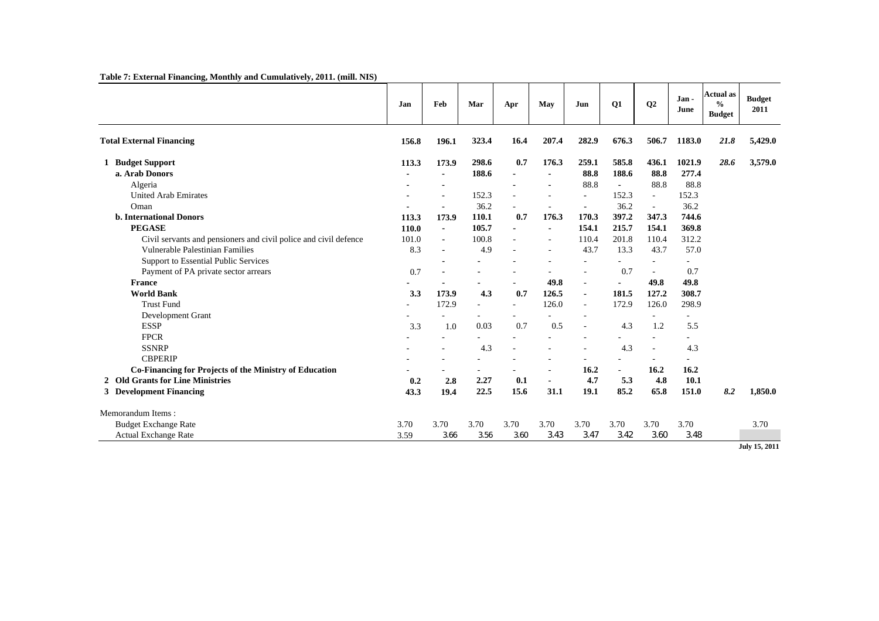#### **Table 7: External Financing, Monthly and Cumulatively, 2011. (mill. NIS)**

|                                                                  | Jan   | Feb            | Mar            | Apr                      | May                      | Jun                      | Q1             | Q2     | Jan -<br>June  | <b>Actual</b> as<br>$\frac{0}{0}$<br><b>Budget</b> | <b>Budget</b><br>2011 |
|------------------------------------------------------------------|-------|----------------|----------------|--------------------------|--------------------------|--------------------------|----------------|--------|----------------|----------------------------------------------------|-----------------------|
| <b>Total External Financing</b>                                  | 156.8 | 196.1          | 323.4          | 16.4                     | 207.4                    | 282.9                    | 676.3          | 506.7  | 1183.0         | 21.8                                               | 5,429.0               |
| 1 Budget Support                                                 | 113.3 | 173.9          | 298.6          | 0.7                      | 176.3                    | 259.1                    | 585.8          | 436.1  | 1021.9         | 28.6                                               | 3,579.0               |
| a. Arab Donors                                                   |       | ٠              | 188.6          | $\overline{a}$           | $\blacksquare$           | 88.8                     | 188.6          | 88.8   | 277.4          |                                                    |                       |
| Algeria                                                          |       |                |                | $\overline{\phantom{a}}$ | $\blacksquare$           | 88.8                     | $\mathbf{r}$   | 88.8   | 88.8           |                                                    |                       |
| <b>United Arab Emirates</b>                                      |       |                | 152.3          |                          | ÷                        | $\overline{\phantom{a}}$ | 152.3          | $\sim$ | 152.3          |                                                    |                       |
| Oman                                                             |       |                | 36.2           |                          | $\overline{\phantom{a}}$ |                          | 36.2           | ÷.     | 36.2           |                                                    |                       |
| <b>b.</b> International Donors                                   | 113.3 | 173.9          | 110.1          | 0.7                      | 176.3                    | 170.3                    | 397.2          | 347.3  | 744.6          |                                                    |                       |
| <b>PEGASE</b>                                                    | 110.0 | $\blacksquare$ | 105.7          | $\blacksquare$           | $\overline{\phantom{a}}$ | 154.1                    | 215.7          | 154.1  | 369.8          |                                                    |                       |
| Civil servants and pensioners and civil police and civil defence | 101.0 | $\blacksquare$ | 100.8          | ÷.                       | $\overline{\phantom{a}}$ | 110.4                    | 201.8          | 110.4  | 312.2          |                                                    |                       |
| Vulnerable Palestinian Families                                  | 8.3   | ٠              | 4.9            | $\overline{\phantom{a}}$ | $\sim$                   | 43.7                     | 13.3           | 43.7   | 57.0           |                                                    |                       |
| Support to Essential Public Services                             |       |                |                |                          |                          |                          |                |        |                |                                                    |                       |
| Payment of PA private sector arrears                             | 0.7   | $\blacksquare$ | $\blacksquare$ |                          | $\overline{\phantom{a}}$ | $\sim$                   | 0.7            | $\sim$ | 0.7            |                                                    |                       |
| <b>France</b>                                                    |       |                |                |                          | 49.8                     | $\omega$                 | $\blacksquare$ | 49.8   | 49.8           |                                                    |                       |
| <b>World Bank</b>                                                | 3.3   | 173.9          | 4.3            | 0.7                      | 126.5                    | $\blacksquare$           | 181.5          | 127.2  | 308.7          |                                                    |                       |
| <b>Trust Fund</b>                                                |       | 172.9          | ٠              | ÷.                       | 126.0                    | $\sim$                   | 172.9          | 126.0  | 298.9          |                                                    |                       |
| Development Grant                                                |       |                |                |                          |                          |                          |                |        |                |                                                    |                       |
| <b>ESSP</b>                                                      | 3.3   | 1.0            | 0.03           | 0.7                      | 0.5                      |                          | 4.3            | 1.2    | 5.5            |                                                    |                       |
| <b>FPCR</b>                                                      |       |                |                |                          | ÷                        |                          |                |        |                |                                                    |                       |
| <b>SSNRP</b>                                                     |       |                | 4.3            | ÷.                       | ÷                        |                          | 4.3            | $\sim$ | 4.3            |                                                    |                       |
| <b>CBPERIP</b>                                                   |       |                |                |                          |                          |                          |                |        | $\overline{a}$ |                                                    |                       |
| Co-Financing for Projects of the Ministry of Education           |       |                | ٠              |                          | ٠                        | 16.2                     | $\sim$         | 16.2   | 16.2           |                                                    |                       |
| 2 Old Grants for Line Ministries                                 | 0.2   | 2.8            | 2.27           | 0.1                      | $\blacksquare$           | 4.7                      | 5.3            | 4.8    | 10.1           |                                                    |                       |
| 3 Development Financing                                          | 43.3  | 19.4           | 22.5           | 15.6                     | 31.1                     | 19.1                     | 85.2           | 65.8   | 151.0          | 8.2                                                | 1,850.0               |
| Memorandum Items:                                                |       |                |                |                          |                          |                          |                |        |                |                                                    |                       |
| <b>Budget Exchange Rate</b>                                      | 3.70  | 3.70           | 3.70           | 3.70                     | 3.70                     | 3.70                     | 3.70           | 3.70   | 3.70           |                                                    | 3.70                  |
| <b>Actual Exchange Rate</b>                                      | 3.59  | 3.66           | 3.56           | 3.60                     | 3.43                     | 3.47                     | 3.42           | 3.60   | 3.48           |                                                    |                       |
|                                                                  |       |                |                |                          |                          |                          |                |        |                |                                                    | July 15, 2011         |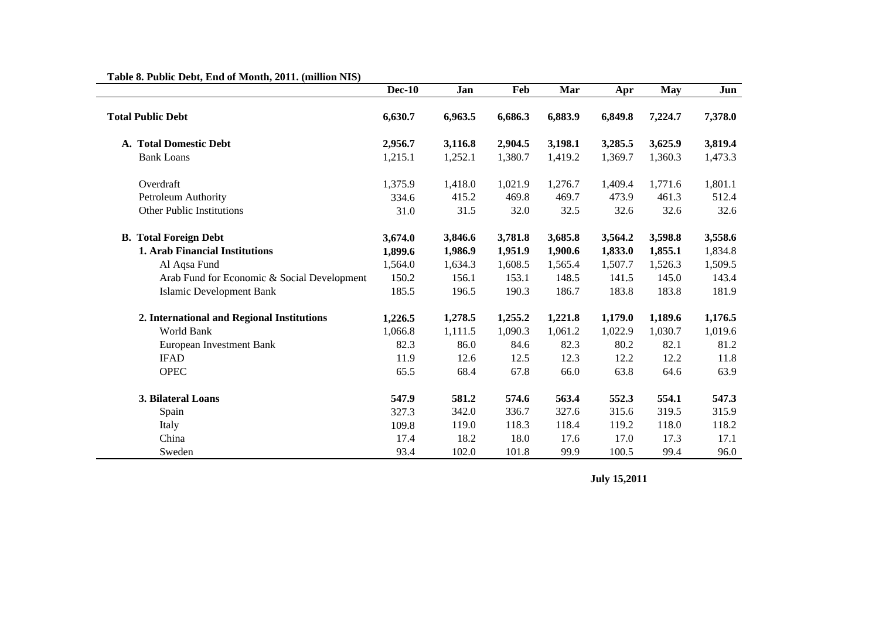# **Table 8. Public Debt, End of Month, 2011. (million NIS)**

|                                             | <b>Dec-10</b> | Jan     | Feb     | Mar     | Apr     | <b>May</b> | Jun     |
|---------------------------------------------|---------------|---------|---------|---------|---------|------------|---------|
| <b>Total Public Debt</b>                    | 6,630.7       | 6,963.5 | 6,686.3 | 6,883.9 | 6,849.8 | 7,224.7    | 7,378.0 |
| A. Total Domestic Debt                      | 2,956.7       | 3,116.8 | 2,904.5 | 3,198.1 | 3,285.5 | 3,625.9    | 3,819.4 |
| <b>Bank Loans</b>                           | 1,215.1       | 1,252.1 | 1,380.7 | 1,419.2 | 1,369.7 | 1,360.3    | 1,473.3 |
| Overdraft                                   | 1,375.9       | 1,418.0 | 1,021.9 | 1,276.7 | 1,409.4 | 1,771.6    | 1,801.1 |
| Petroleum Authority                         | 334.6         | 415.2   | 469.8   | 469.7   | 473.9   | 461.3      | 512.4   |
| Other Public Institutions                   | 31.0          | 31.5    | 32.0    | 32.5    | 32.6    | 32.6       | 32.6    |
| <b>B.</b> Total Foreign Debt                | 3,674.0       | 3,846.6 | 3,781.8 | 3,685.8 | 3,564.2 | 3,598.8    | 3,558.6 |
| <b>1. Arab Financial Institutions</b>       | 1,899.6       | 1,986.9 | 1,951.9 | 1,900.6 | 1,833.0 | 1,855.1    | 1,834.8 |
| Al Aqsa Fund                                | 1,564.0       | 1,634.3 | 1,608.5 | 1,565.4 | 1,507.7 | 1,526.3    | 1,509.5 |
| Arab Fund for Economic & Social Development | 150.2         | 156.1   | 153.1   | 148.5   | 141.5   | 145.0      | 143.4   |
| <b>Islamic Development Bank</b>             | 185.5         | 196.5   | 190.3   | 186.7   | 183.8   | 183.8      | 181.9   |
| 2. International and Regional Institutions  | 1,226.5       | 1,278.5 | 1,255.2 | 1,221.8 | 1,179.0 | 1,189.6    | 1,176.5 |
| World Bank                                  | 1,066.8       | 1,111.5 | 1,090.3 | 1,061.2 | 1,022.9 | 1,030.7    | 1,019.6 |
| European Investment Bank                    | 82.3          | 86.0    | 84.6    | 82.3    | 80.2    | 82.1       | 81.2    |
| <b>IFAD</b>                                 | 11.9          | 12.6    | 12.5    | 12.3    | 12.2    | 12.2       | 11.8    |
| <b>OPEC</b>                                 | 65.5          | 68.4    | 67.8    | 66.0    | 63.8    | 64.6       | 63.9    |
| 3. Bilateral Loans                          | 547.9         | 581.2   | 574.6   | 563.4   | 552.3   | 554.1      | 547.3   |
| Spain                                       | 327.3         | 342.0   | 336.7   | 327.6   | 315.6   | 319.5      | 315.9   |
| Italy                                       | 109.8         | 119.0   | 118.3   | 118.4   | 119.2   | 118.0      | 118.2   |
| China                                       | 17.4          | 18.2    | 18.0    | 17.6    | 17.0    | 17.3       | 17.1    |
| Sweden                                      | 93.4          | 102.0   | 101.8   | 99.9    | 100.5   | 99.4       | 96.0    |

**July 15,2011**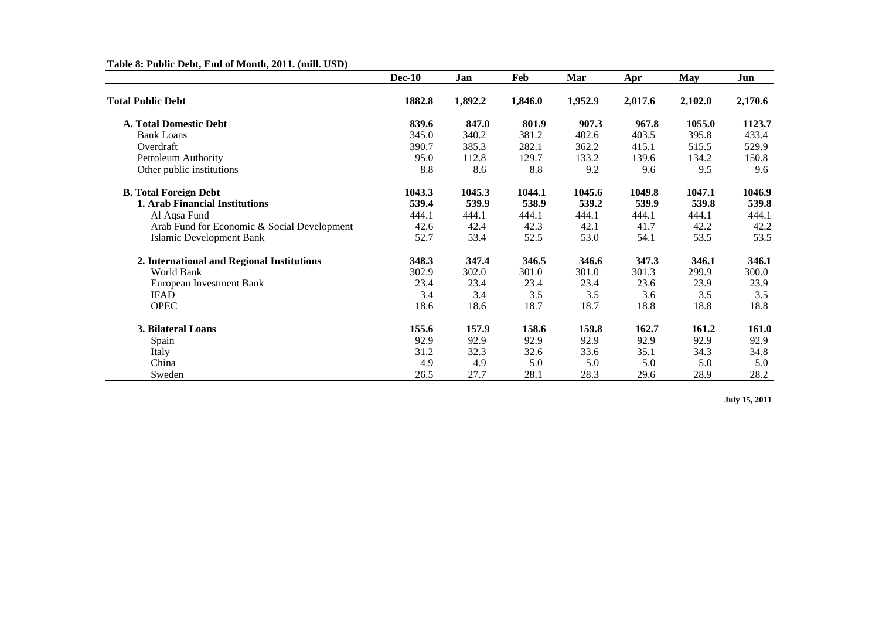## **Table 8: Public Debt, End of Month, 2011. (mill. USD)**

|                                             | <b>Dec-10</b> | Jan     | Feb     | Mar     | Apr     | <b>May</b> | Jun     |
|---------------------------------------------|---------------|---------|---------|---------|---------|------------|---------|
| <b>Total Public Debt</b>                    | 1882.8        | 1,892.2 | 1,846.0 | 1,952.9 | 2,017.6 | 2,102.0    | 2,170.6 |
| <b>A. Total Domestic Debt</b>               | 839.6         | 847.0   | 801.9   | 907.3   | 967.8   | 1055.0     | 1123.7  |
| <b>Bank Loans</b>                           | 345.0         | 340.2   | 381.2   | 402.6   | 403.5   | 395.8      | 433.4   |
| Overdraft                                   | 390.7         | 385.3   | 282.1   | 362.2   | 415.1   | 515.5      | 529.9   |
| Petroleum Authority                         | 95.0          | 112.8   | 129.7   | 133.2   | 139.6   | 134.2      | 150.8   |
| Other public institutions                   | 8.8           | 8.6     | 8.8     | 9.2     | 9.6     | 9.5        | 9.6     |
| <b>B. Total Foreign Debt</b>                | 1043.3        | 1045.3  | 1044.1  | 1045.6  | 1049.8  | 1047.1     | 1046.9  |
| 1. Arab Financial Institutions              | 539.4         | 539.9   | 538.9   | 539.2   | 539.9   | 539.8      | 539.8   |
| Al Aqsa Fund                                | 444.1         | 444.1   | 444.1   | 444.1   | 444.1   | 444.1      | 444.1   |
| Arab Fund for Economic & Social Development | 42.6          | 42.4    | 42.3    | 42.1    | 41.7    | 42.2       | 42.2    |
| Islamic Development Bank                    | 52.7          | 53.4    | 52.5    | 53.0    | 54.1    | 53.5       | 53.5    |
| 2. International and Regional Institutions  | 348.3         | 347.4   | 346.5   | 346.6   | 347.3   | 346.1      | 346.1   |
| World Bank                                  | 302.9         | 302.0   | 301.0   | 301.0   | 301.3   | 299.9      | 300.0   |
| European Investment Bank                    | 23.4          | 23.4    | 23.4    | 23.4    | 23.6    | 23.9       | 23.9    |
| <b>IFAD</b>                                 | 3.4           | 3.4     | 3.5     | 3.5     | 3.6     | 3.5        | 3.5     |
| <b>OPEC</b>                                 | 18.6          | 18.6    | 18.7    | 18.7    | 18.8    | 18.8       | 18.8    |
| 3. Bilateral Loans                          | 155.6         | 157.9   | 158.6   | 159.8   | 162.7   | 161.2      | 161.0   |
| Spain                                       | 92.9          | 92.9    | 92.9    | 92.9    | 92.9    | 92.9       | 92.9    |
| Italy                                       | 31.2          | 32.3    | 32.6    | 33.6    | 35.1    | 34.3       | 34.8    |
| China                                       | 4.9           | 4.9     | 5.0     | 5.0     | 5.0     | 5.0        | 5.0     |
| Sweden                                      | 26.5          | 27.7    | 28.1    | 28.3    | 29.6    | 28.9       | 28.2    |

**July 15, 2011**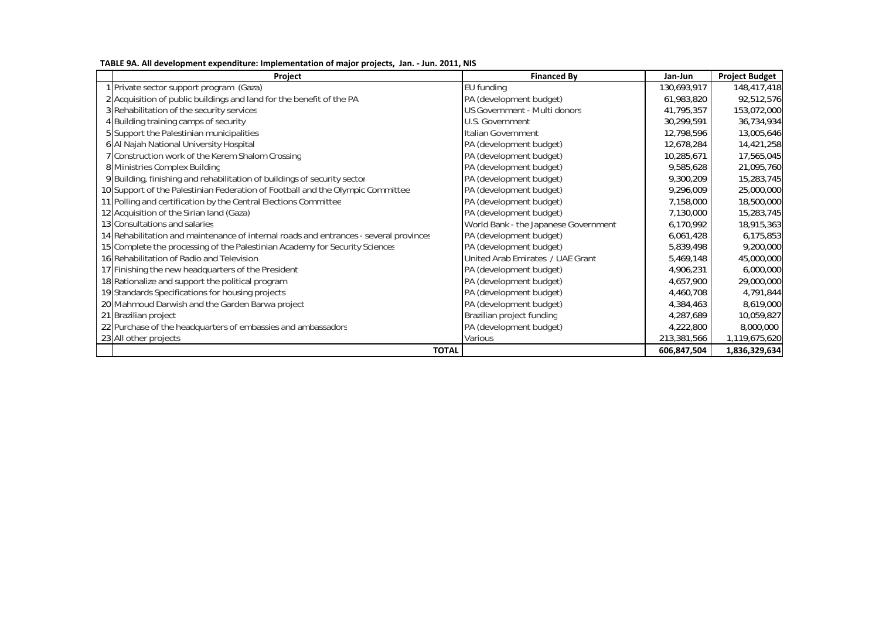| Project                                                                               | <b>Financed By</b>                   | Jan-Jun     | <b>Project Budget</b> |
|---------------------------------------------------------------------------------------|--------------------------------------|-------------|-----------------------|
| 1 Private sector support program (Gaza)                                               | EU funding                           | 130,693,917 | 148,417,418           |
| 2 Acquisition of public buildings and land for the benefit of the PA                  | PA (development budget)              | 61,983,820  | 92,512,576            |
| 3 Rehabilitation of the security services                                             | US Government - Multi donors         | 41,795,357  | 153,072,000           |
| 4 Building training camps of security                                                 | U.S. Government                      | 30,299,591  | 36,734,934            |
| 5 Support the Palestinian municipalities                                              | Italian Government                   | 12,798,596  | 13,005,646            |
| 6 Al Najah National University Hospital                                               | PA (development budget)              | 12,678,284  | 14,421,258            |
| 7 Construction work of the Kerem Shalom Crossing                                      | PA (development budget)              | 10,285,671  | 17,565,045            |
| 8 Ministries Complex Building                                                         | PA (development budget)              | 9,585,628   | 21,095,760            |
| 9 Building, finishing and rehabilitation of buildings of security sector              | PA (development budget)              | 9,300,209   | 15,283,745            |
| 10 Support of the Palestinian Federation of Football and the Olympic Committee        | PA (development budget)              | 9,296,009   | 25,000,000            |
| 11 Polling and certification by the Central Elections Committee                       | PA (development budget)              | 7,158,000   | 18,500,000            |
| 12 Acquisition of the Sirian land (Gaza)                                              | PA (development budget)              | 7,130,000   | 15,283,745            |
| 13 Consultations and salaries                                                         | World Bank - the Japanese Government | 6,170,992   | 18,915,363            |
| 14 Rehabilitation and maintenance of internal roads and entrances - several provinces | PA (development budget)              | 6,061,428   | 6,175,853             |
| 15 Complete the processing of the Palestinian Academy for Security Sciences           | PA (development budget)              | 5,839,498   | 9,200,000             |
| 16 Rehabilitation of Radio and Television                                             | United Arab Emirates / UAE Grant     | 5,469,148   | 45,000,000            |
| 17 Finishing the new headquarters of the President                                    | PA (development budget)              | 4,906,231   | 6,000,000             |
| 18 Rationalize and support the political program                                      | PA (development budget)              | 4,657,900   | 29,000,000            |
| 19 Standards Specifications for housing projects                                      | PA (development budget)              | 4,460,708   | 4,791,844             |
| 20 Mahmoud Darwish and the Garden Barwa project                                       | PA (development budget)              | 4,384,463   | 8,619,000             |
| 21 Brazilian project                                                                  | Brazilian project funding            | 4,287,689   | 10,059,827            |
| 22 Purchase of the headquarters of embassies and ambassadors                          | PA (development budget)              | 4,222,800   | 8,000,000             |
| 23 All other projects                                                                 | Various                              | 213,381,566 | 1,119,675,620         |
| <b>TOTAL</b>                                                                          |                                      | 606,847,504 | 1,836,329,634         |

**TABLE 9A. All development expenditure: Implementation of major projects, Jan. ‐ Jun. 2011, NIS**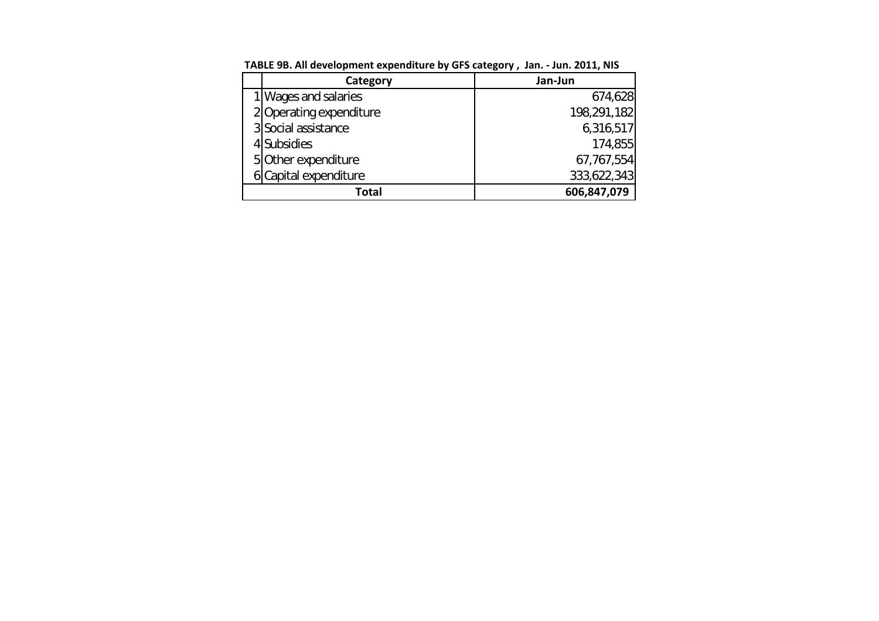| Category                | Jan-Jun     |
|-------------------------|-------------|
| 1 Wages and salaries    | 674,628     |
| 2 Operating expenditure | 198,291,182 |
| 3 Social assistance     | 6,316,517   |
| 4 Subsidies             | 174.855     |
| 5 Other expenditure     | 67,767,554  |
| 6 Capital expenditure   | 333,622,343 |
| Total                   | 606,847,079 |

**TABLE 9B. All development expenditure by GFS category , Jan. ‐ Jun. 2011, NIS**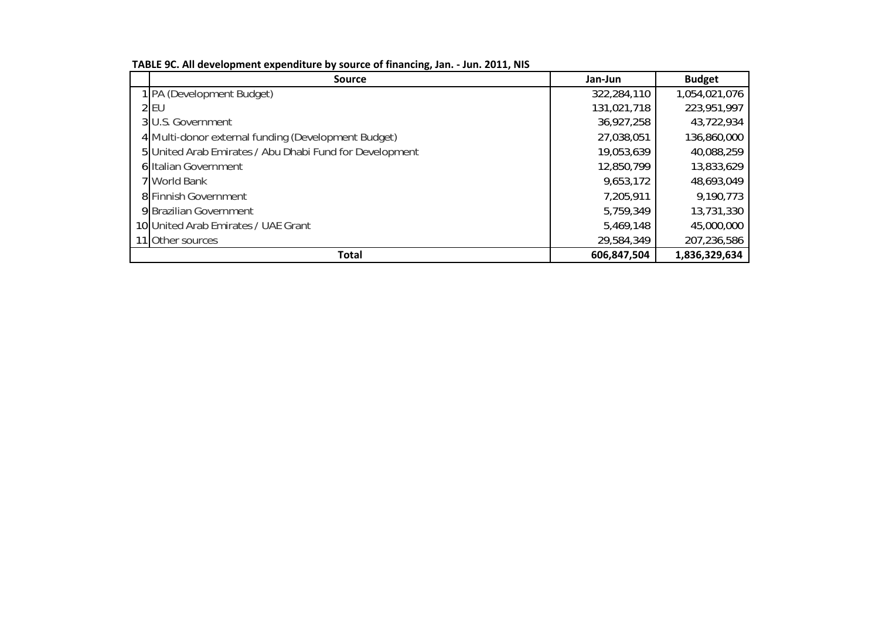| <b>Source</b>                                           | Jan-Jun     | <b>Budget</b> |
|---------------------------------------------------------|-------------|---------------|
| 1 PA (Development Budget)                               | 322,284,110 | 1,054,021,076 |
| $2$ EU                                                  | 131,021,718 | 223,951,997   |
| 3 U.S. Government                                       | 36,927,258  | 43.722.934    |
| 4 Multi-donor external funding (Development Budget)     | 27,038,051  | 136,860,000   |
| 5 United Arab Emirates / Abu Dhabi Fund for Development | 19,053,639  | 40,088,259    |
| 6 Italian Government                                    | 12,850,799  | 13,833,629    |
| 7 World Bank                                            | 9,653,172   | 48,693,049    |
| 8 Finnish Government                                    | 7,205,911   | 9,190,773     |
| 9 Brazilian Government                                  | 5,759,349   | 13,731,330    |
| 10 United Arab Emirates / UAE Grant                     | 5,469,148   | 45,000,000    |
| 11 Other sources                                        | 29,584,349  | 207,236,586   |
| <b>Total</b>                                            | 606,847,504 | 1,836,329,634 |

**TABLE 9C. All development expenditure by source of financing, Jan. ‐ Jun. 2011, NIS**